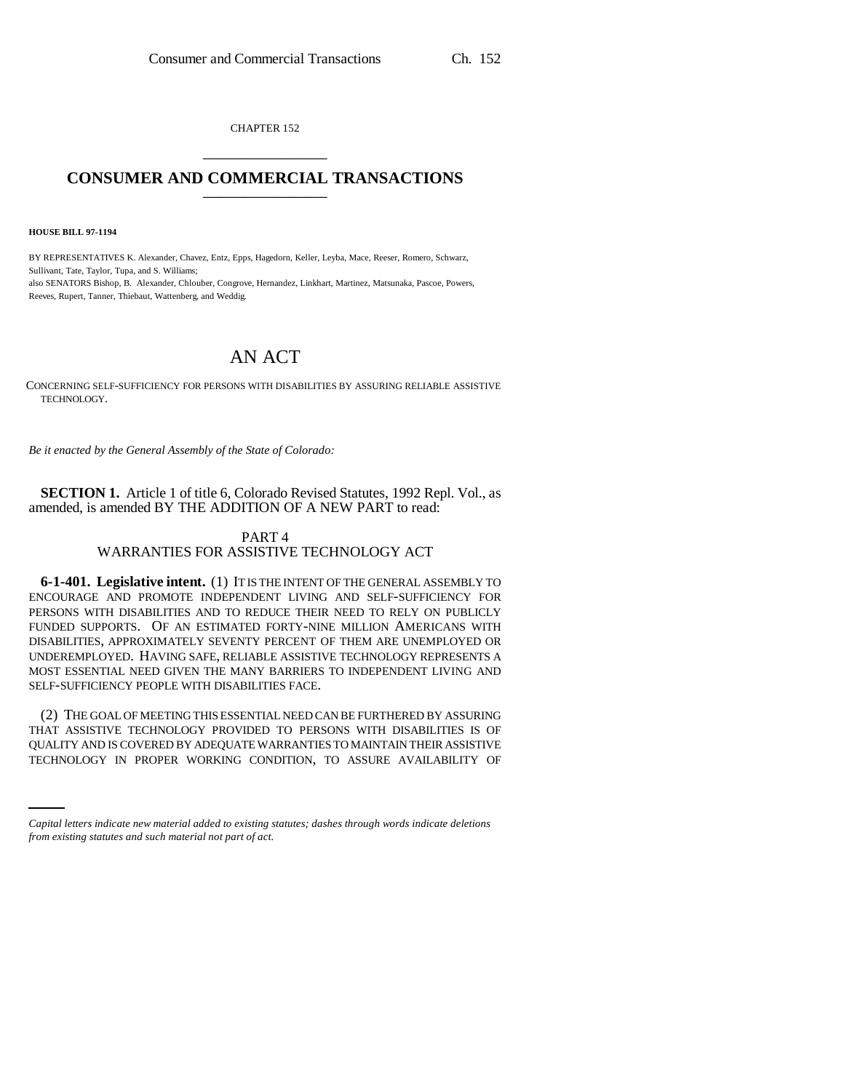CHAPTER 152 \_\_\_\_\_\_\_\_\_\_\_\_\_\_\_

## **CONSUMER AND COMMERCIAL TRANSACTIONS** \_\_\_\_\_\_\_\_\_\_\_\_\_\_\_

**HOUSE BILL 97-1194**

BY REPRESENTATIVES K. Alexander, Chavez, Entz, Epps, Hagedorn, Keller, Leyba, Mace, Reeser, Romero, Schwarz, Sullivant, Tate, Taylor, Tupa, and S. Williams; also SENATORS Bishop, B. Alexander, Chlouber, Congrove, Hernandez, Linkhart, Martinez, Matsunaka, Pascoe, Powers, Reeves, Rupert, Tanner, Thiebaut, Wattenberg, and Weddig.

# AN ACT

CONCERNING SELF-SUFFICIENCY FOR PERSONS WITH DISABILITIES BY ASSURING RELIABLE ASSISTIVE TECHNOLOGY.

*Be it enacted by the General Assembly of the State of Colorado:*

**SECTION 1.** Article 1 of title 6, Colorado Revised Statutes, 1992 Repl. Vol., as amended, is amended BY THE ADDITION OF A NEW PART to read:

## PART 4 WARRANTIES FOR ASSISTIVE TECHNOLOGY ACT

**6-1-401. Legislative intent.** (1) IT IS THE INTENT OF THE GENERAL ASSEMBLY TO ENCOURAGE AND PROMOTE INDEPENDENT LIVING AND SELF-SUFFICIENCY FOR PERSONS WITH DISABILITIES AND TO REDUCE THEIR NEED TO RELY ON PUBLICLY FUNDED SUPPORTS. OF AN ESTIMATED FORTY-NINE MILLION AMERICANS WITH DISABILITIES, APPROXIMATELY SEVENTY PERCENT OF THEM ARE UNEMPLOYED OR UNDEREMPLOYED. HAVING SAFE, RELIABLE ASSISTIVE TECHNOLOGY REPRESENTS A MOST ESSENTIAL NEED GIVEN THE MANY BARRIERS TO INDEPENDENT LIVING AND SELF-SUFFICIENCY PEOPLE WITH DISABILITIES FACE.

THAT ASSISTIVE TECHNOLOGY PROVIDED TO PERSONS WITH DISABILITIES IS OF<br>QUALITY AND IS COVERED BY ADEQUATE WARRANTIES TO MAINTAIN THEIR ASSISTIVE (2) THE GOAL OF MEETING THIS ESSENTIAL NEED CAN BE FURTHERED BY ASSURING THAT ASSISTIVE TECHNOLOGY PROVIDED TO PERSONS WITH DISABILITIES IS OF TECHNOLOGY IN PROPER WORKING CONDITION, TO ASSURE AVAILABILITY OF

*Capital letters indicate new material added to existing statutes; dashes through words indicate deletions from existing statutes and such material not part of act.*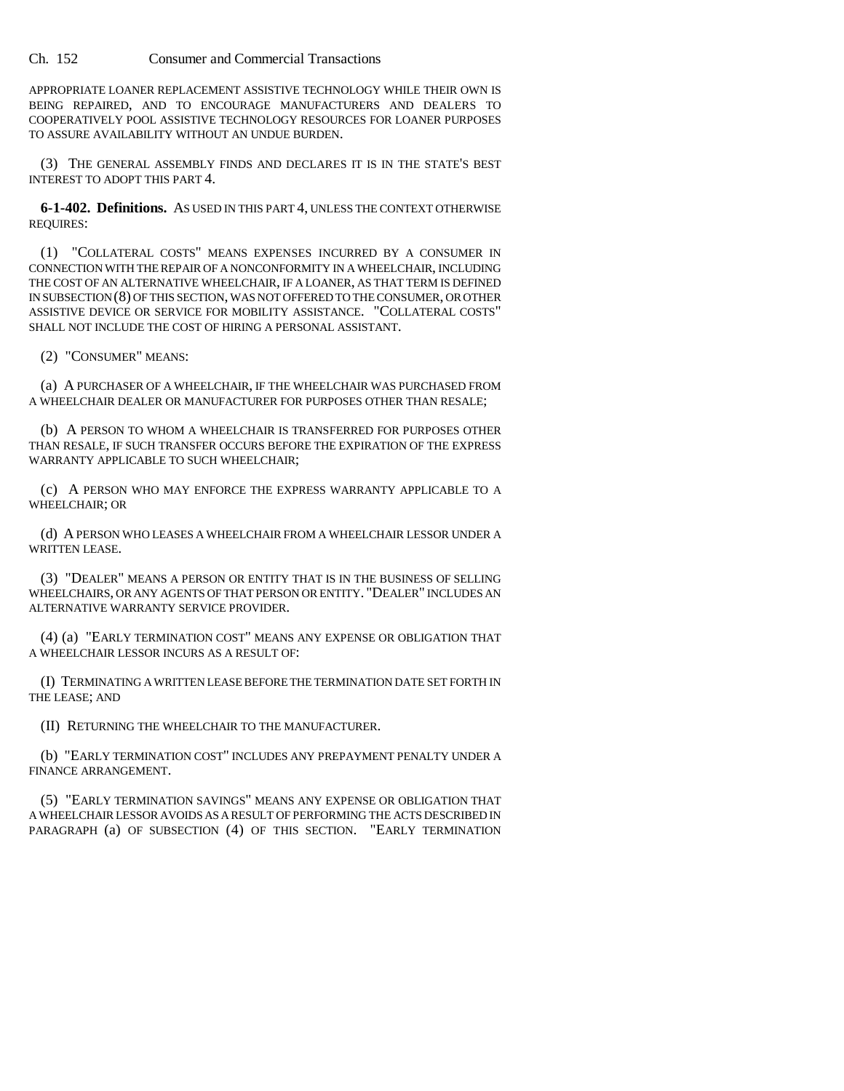#### Ch. 152 Consumer and Commercial Transactions

APPROPRIATE LOANER REPLACEMENT ASSISTIVE TECHNOLOGY WHILE THEIR OWN IS BEING REPAIRED, AND TO ENCOURAGE MANUFACTURERS AND DEALERS TO COOPERATIVELY POOL ASSISTIVE TECHNOLOGY RESOURCES FOR LOANER PURPOSES TO ASSURE AVAILABILITY WITHOUT AN UNDUE BURDEN.

(3) THE GENERAL ASSEMBLY FINDS AND DECLARES IT IS IN THE STATE'S BEST INTEREST TO ADOPT THIS PART 4.

**6-1-402. Definitions.** AS USED IN THIS PART 4, UNLESS THE CONTEXT OTHERWISE REQUIRES:

(1) "COLLATERAL COSTS" MEANS EXPENSES INCURRED BY A CONSUMER IN CONNECTION WITH THE REPAIR OF A NONCONFORMITY IN A WHEELCHAIR, INCLUDING THE COST OF AN ALTERNATIVE WHEELCHAIR, IF A LOANER, AS THAT TERM IS DEFINED IN SUBSECTION (8) OF THIS SECTION, WAS NOT OFFERED TO THE CONSUMER, OR OTHER ASSISTIVE DEVICE OR SERVICE FOR MOBILITY ASSISTANCE. "COLLATERAL COSTS" SHALL NOT INCLUDE THE COST OF HIRING A PERSONAL ASSISTANT.

(2) "CONSUMER" MEANS:

(a) A PURCHASER OF A WHEELCHAIR, IF THE WHEELCHAIR WAS PURCHASED FROM A WHEELCHAIR DEALER OR MANUFACTURER FOR PURPOSES OTHER THAN RESALE;

(b) A PERSON TO WHOM A WHEELCHAIR IS TRANSFERRED FOR PURPOSES OTHER THAN RESALE, IF SUCH TRANSFER OCCURS BEFORE THE EXPIRATION OF THE EXPRESS WARRANTY APPLICABLE TO SUCH WHEELCHAIR;

(c) A PERSON WHO MAY ENFORCE THE EXPRESS WARRANTY APPLICABLE TO A WHEELCHAIR; OR

(d) A PERSON WHO LEASES A WHEELCHAIR FROM A WHEELCHAIR LESSOR UNDER A WRITTEN LEASE.

(3) "DEALER" MEANS A PERSON OR ENTITY THAT IS IN THE BUSINESS OF SELLING WHEELCHAIRS, OR ANY AGENTS OF THAT PERSON OR ENTITY. "DEALER" INCLUDES AN ALTERNATIVE WARRANTY SERVICE PROVIDER.

(4) (a) "EARLY TERMINATION COST" MEANS ANY EXPENSE OR OBLIGATION THAT A WHEELCHAIR LESSOR INCURS AS A RESULT OF:

(I) TERMINATING A WRITTEN LEASE BEFORE THE TERMINATION DATE SET FORTH IN THE LEASE; AND

(II) RETURNING THE WHEELCHAIR TO THE MANUFACTURER.

(b) "EARLY TERMINATION COST" INCLUDES ANY PREPAYMENT PENALTY UNDER A FINANCE ARRANGEMENT.

(5) "EARLY TERMINATION SAVINGS" MEANS ANY EXPENSE OR OBLIGATION THAT A WHEELCHAIR LESSOR AVOIDS AS A RESULT OF PERFORMING THE ACTS DESCRIBED IN PARAGRAPH (a) OF SUBSECTION (4) OF THIS SECTION. "EARLY TERMINATION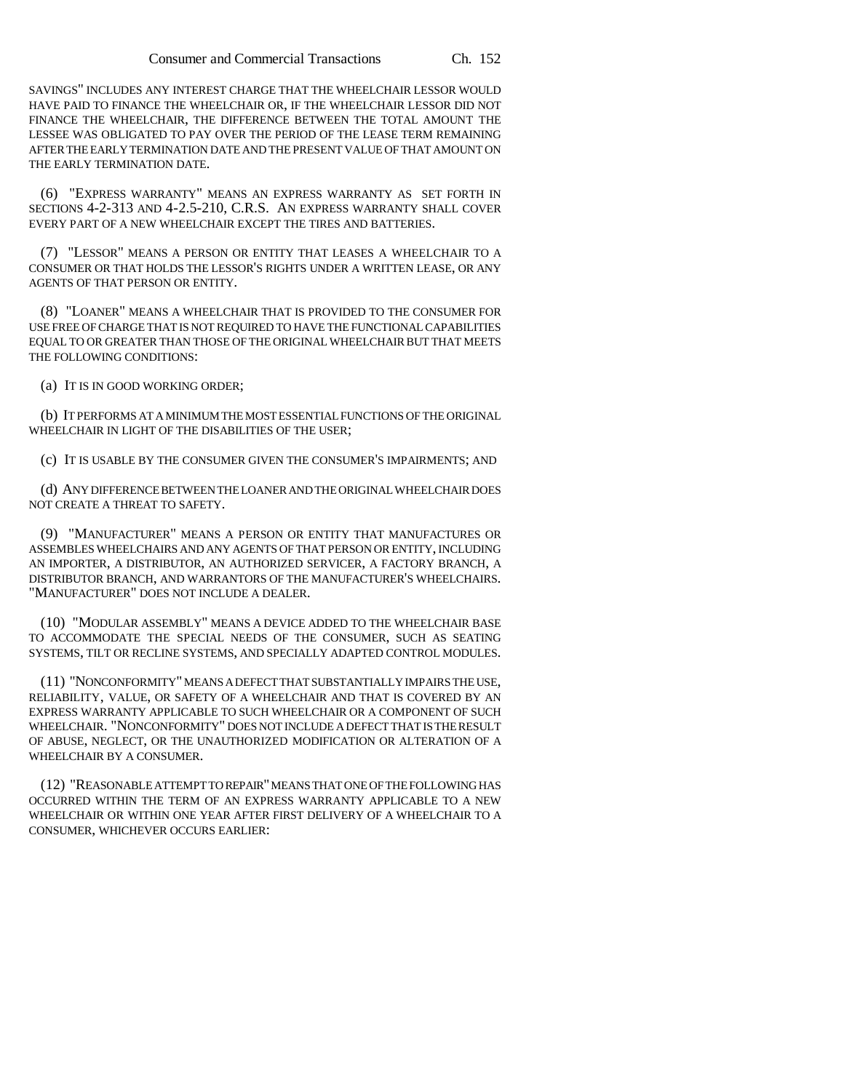SAVINGS" INCLUDES ANY INTEREST CHARGE THAT THE WHEELCHAIR LESSOR WOULD HAVE PAID TO FINANCE THE WHEELCHAIR OR, IF THE WHEELCHAIR LESSOR DID NOT FINANCE THE WHEELCHAIR, THE DIFFERENCE BETWEEN THE TOTAL AMOUNT THE LESSEE WAS OBLIGATED TO PAY OVER THE PERIOD OF THE LEASE TERM REMAINING AFTER THE EARLY TERMINATION DATE AND THE PRESENT VALUE OF THAT AMOUNT ON THE EARLY TERMINATION DATE.

(6) "EXPRESS WARRANTY" MEANS AN EXPRESS WARRANTY AS SET FORTH IN SECTIONS 4-2-313 AND 4-2.5-210, C.R.S. AN EXPRESS WARRANTY SHALL COVER EVERY PART OF A NEW WHEELCHAIR EXCEPT THE TIRES AND BATTERIES.

(7) "LESSOR" MEANS A PERSON OR ENTITY THAT LEASES A WHEELCHAIR TO A CONSUMER OR THAT HOLDS THE LESSOR'S RIGHTS UNDER A WRITTEN LEASE, OR ANY AGENTS OF THAT PERSON OR ENTITY.

(8) "LOANER" MEANS A WHEELCHAIR THAT IS PROVIDED TO THE CONSUMER FOR USE FREE OF CHARGE THAT IS NOT REQUIRED TO HAVE THE FUNCTIONAL CAPABILITIES EQUAL TO OR GREATER THAN THOSE OF THE ORIGINAL WHEELCHAIR BUT THAT MEETS THE FOLLOWING CONDITIONS:

(a) IT IS IN GOOD WORKING ORDER;

(b) IT PERFORMS AT A MINIMUM THE MOST ESSENTIAL FUNCTIONS OF THE ORIGINAL WHEELCHAIR IN LIGHT OF THE DISABILITIES OF THE USER;

(c) IT IS USABLE BY THE CONSUMER GIVEN THE CONSUMER'S IMPAIRMENTS; AND

(d) ANY DIFFERENCE BETWEEN THE LOANER AND THE ORIGINAL WHEELCHAIR DOES NOT CREATE A THREAT TO SAFETY.

(9) "MANUFACTURER" MEANS A PERSON OR ENTITY THAT MANUFACTURES OR ASSEMBLES WHEELCHAIRS AND ANY AGENTS OF THAT PERSON OR ENTITY, INCLUDING AN IMPORTER, A DISTRIBUTOR, AN AUTHORIZED SERVICER, A FACTORY BRANCH, A DISTRIBUTOR BRANCH, AND WARRANTORS OF THE MANUFACTURER'S WHEELCHAIRS. "MANUFACTURER" DOES NOT INCLUDE A DEALER.

(10) "MODULAR ASSEMBLY" MEANS A DEVICE ADDED TO THE WHEELCHAIR BASE TO ACCOMMODATE THE SPECIAL NEEDS OF THE CONSUMER, SUCH AS SEATING SYSTEMS, TILT OR RECLINE SYSTEMS, AND SPECIALLY ADAPTED CONTROL MODULES.

(11) "NONCONFORMITY" MEANS A DEFECT THAT SUBSTANTIALLY IMPAIRS THE USE, RELIABILITY, VALUE, OR SAFETY OF A WHEELCHAIR AND THAT IS COVERED BY AN EXPRESS WARRANTY APPLICABLE TO SUCH WHEELCHAIR OR A COMPONENT OF SUCH WHEELCHAIR. "NONCONFORMITY" DOES NOT INCLUDE A DEFECT THAT IS THE RESULT OF ABUSE, NEGLECT, OR THE UNAUTHORIZED MODIFICATION OR ALTERATION OF A WHEELCHAIR BY A CONSUMER.

(12) "REASONABLE ATTEMPT TO REPAIR" MEANS THAT ONE OF THE FOLLOWING HAS OCCURRED WITHIN THE TERM OF AN EXPRESS WARRANTY APPLICABLE TO A NEW WHEELCHAIR OR WITHIN ONE YEAR AFTER FIRST DELIVERY OF A WHEELCHAIR TO A CONSUMER, WHICHEVER OCCURS EARLIER: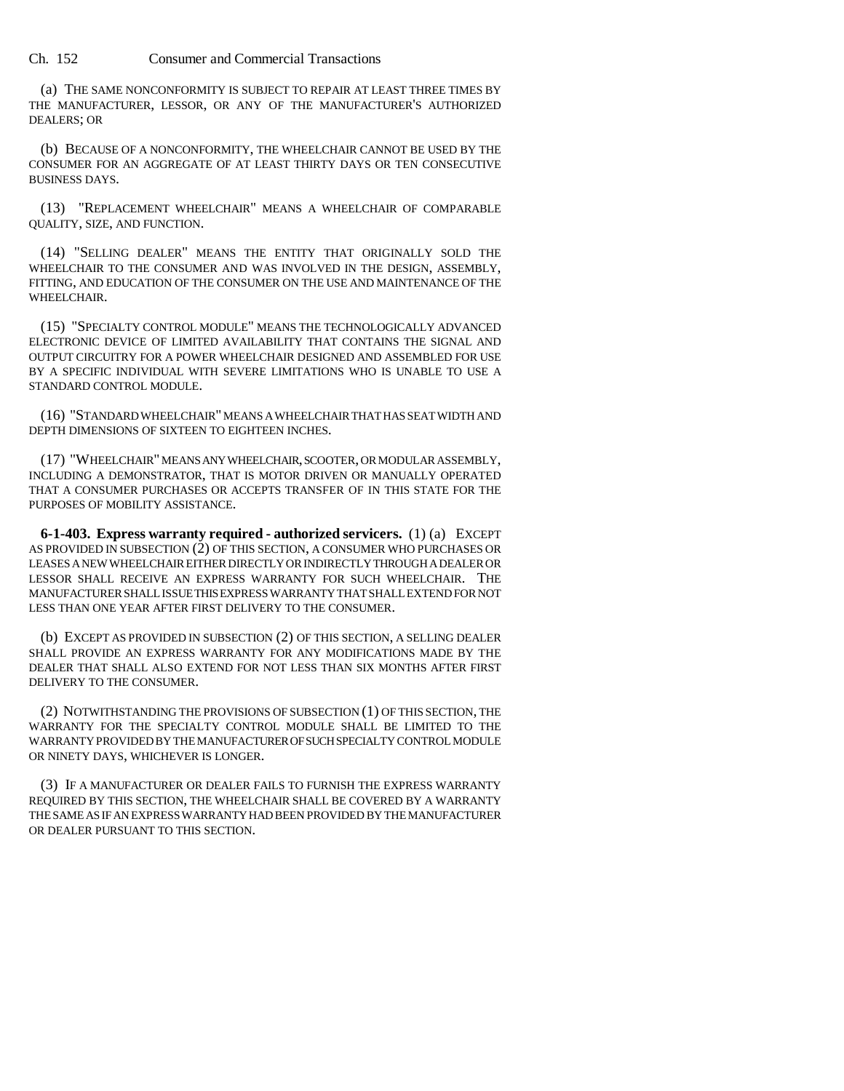Ch. 152 Consumer and Commercial Transactions

(a) THE SAME NONCONFORMITY IS SUBJECT TO REPAIR AT LEAST THREE TIMES BY THE MANUFACTURER, LESSOR, OR ANY OF THE MANUFACTURER'S AUTHORIZED DEALERS; OR

(b) BECAUSE OF A NONCONFORMITY, THE WHEELCHAIR CANNOT BE USED BY THE CONSUMER FOR AN AGGREGATE OF AT LEAST THIRTY DAYS OR TEN CONSECUTIVE BUSINESS DAYS.

(13) "REPLACEMENT WHEELCHAIR" MEANS A WHEELCHAIR OF COMPARABLE QUALITY, SIZE, AND FUNCTION.

(14) "SELLING DEALER" MEANS THE ENTITY THAT ORIGINALLY SOLD THE WHEELCHAIR TO THE CONSUMER AND WAS INVOLVED IN THE DESIGN, ASSEMBLY, FITTING, AND EDUCATION OF THE CONSUMER ON THE USE AND MAINTENANCE OF THE WHEELCHAIR.

(15) "SPECIALTY CONTROL MODULE" MEANS THE TECHNOLOGICALLY ADVANCED ELECTRONIC DEVICE OF LIMITED AVAILABILITY THAT CONTAINS THE SIGNAL AND OUTPUT CIRCUITRY FOR A POWER WHEELCHAIR DESIGNED AND ASSEMBLED FOR USE BY A SPECIFIC INDIVIDUAL WITH SEVERE LIMITATIONS WHO IS UNABLE TO USE A STANDARD CONTROL MODULE.

(16) "STANDARD WHEELCHAIR" MEANS A WHEELCHAIR THAT HAS SEAT WIDTH AND DEPTH DIMENSIONS OF SIXTEEN TO EIGHTEEN INCHES.

(17) "WHEELCHAIR" MEANS ANY WHEELCHAIR, SCOOTER, OR MODULAR ASSEMBLY, INCLUDING A DEMONSTRATOR, THAT IS MOTOR DRIVEN OR MANUALLY OPERATED THAT A CONSUMER PURCHASES OR ACCEPTS TRANSFER OF IN THIS STATE FOR THE PURPOSES OF MOBILITY ASSISTANCE.

**6-1-403. Express warranty required - authorized servicers.** (1) (a) EXCEPT AS PROVIDED IN SUBSECTION (2) OF THIS SECTION, A CONSUMER WHO PURCHASES OR LEASES A NEW WHEELCHAIR EITHER DIRECTLY OR INDIRECTLY THROUGH A DEALER OR LESSOR SHALL RECEIVE AN EXPRESS WARRANTY FOR SUCH WHEELCHAIR. THE MANUFACTURER SHALL ISSUE THIS EXPRESS WARRANTY THAT SHALL EXTEND FOR NOT LESS THAN ONE YEAR AFTER FIRST DELIVERY TO THE CONSUMER.

(b) EXCEPT AS PROVIDED IN SUBSECTION (2) OF THIS SECTION, A SELLING DEALER SHALL PROVIDE AN EXPRESS WARRANTY FOR ANY MODIFICATIONS MADE BY THE DEALER THAT SHALL ALSO EXTEND FOR NOT LESS THAN SIX MONTHS AFTER FIRST DELIVERY TO THE CONSUMER.

(2) NOTWITHSTANDING THE PROVISIONS OF SUBSECTION (1) OF THIS SECTION, THE WARRANTY FOR THE SPECIALTY CONTROL MODULE SHALL BE LIMITED TO THE WARRANTY PROVIDED BY THE MANUFACTURER OF SUCH SPECIALTY CONTROL MODULE OR NINETY DAYS, WHICHEVER IS LONGER.

(3) IF A MANUFACTURER OR DEALER FAILS TO FURNISH THE EXPRESS WARRANTY REQUIRED BY THIS SECTION, THE WHEELCHAIR SHALL BE COVERED BY A WARRANTY THE SAME AS IF AN EXPRESS WARRANTY HAD BEEN PROVIDED BY THE MANUFACTURER OR DEALER PURSUANT TO THIS SECTION.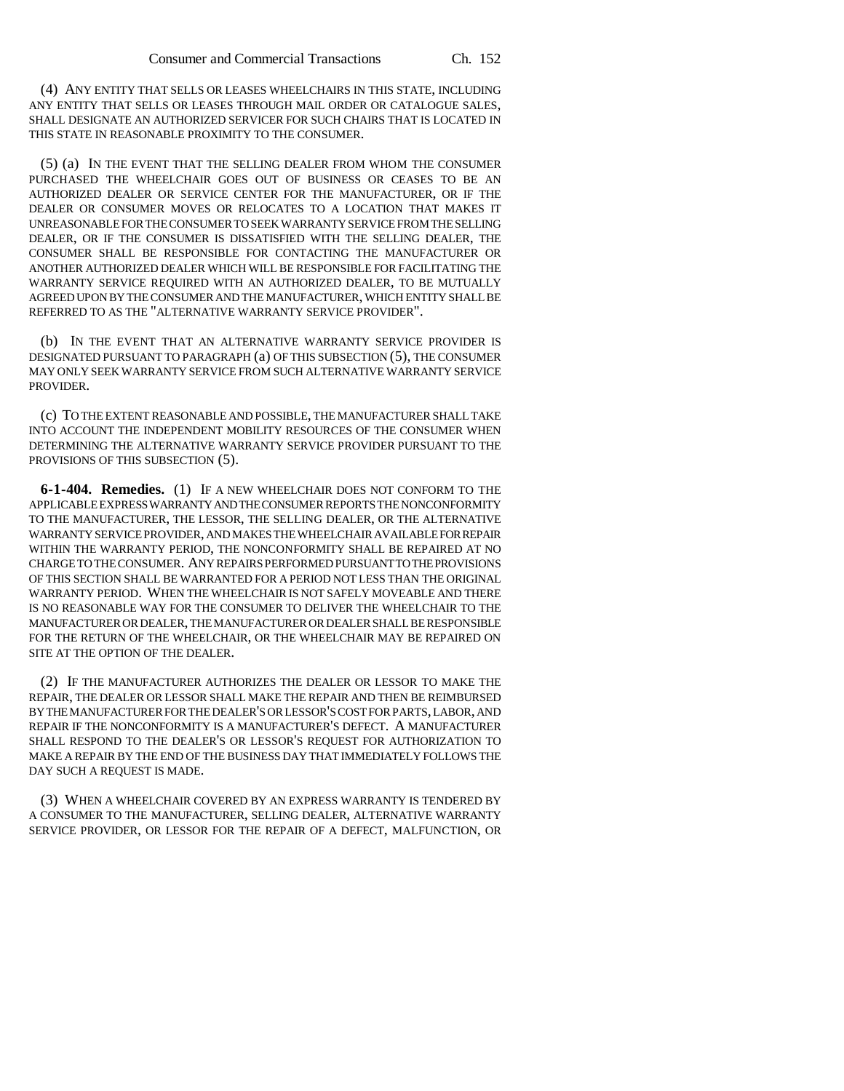(4) ANY ENTITY THAT SELLS OR LEASES WHEELCHAIRS IN THIS STATE, INCLUDING ANY ENTITY THAT SELLS OR LEASES THROUGH MAIL ORDER OR CATALOGUE SALES, SHALL DESIGNATE AN AUTHORIZED SERVICER FOR SUCH CHAIRS THAT IS LOCATED IN THIS STATE IN REASONABLE PROXIMITY TO THE CONSUMER.

(5) (a) IN THE EVENT THAT THE SELLING DEALER FROM WHOM THE CONSUMER PURCHASED THE WHEELCHAIR GOES OUT OF BUSINESS OR CEASES TO BE AN AUTHORIZED DEALER OR SERVICE CENTER FOR THE MANUFACTURER, OR IF THE DEALER OR CONSUMER MOVES OR RELOCATES TO A LOCATION THAT MAKES IT UNREASONABLE FOR THE CONSUMER TO SEEK WARRANTY SERVICE FROM THE SELLING DEALER, OR IF THE CONSUMER IS DISSATISFIED WITH THE SELLING DEALER, THE CONSUMER SHALL BE RESPONSIBLE FOR CONTACTING THE MANUFACTURER OR ANOTHER AUTHORIZED DEALER WHICH WILL BE RESPONSIBLE FOR FACILITATING THE WARRANTY SERVICE REQUIRED WITH AN AUTHORIZED DEALER, TO BE MUTUALLY AGREED UPON BY THE CONSUMER AND THE MANUFACTURER, WHICH ENTITY SHALL BE REFERRED TO AS THE "ALTERNATIVE WARRANTY SERVICE PROVIDER".

(b) IN THE EVENT THAT AN ALTERNATIVE WARRANTY SERVICE PROVIDER IS DESIGNATED PURSUANT TO PARAGRAPH (a) OF THIS SUBSECTION (5), THE CONSUMER MAY ONLY SEEK WARRANTY SERVICE FROM SUCH ALTERNATIVE WARRANTY SERVICE PROVIDER.

(c) TO THE EXTENT REASONABLE AND POSSIBLE, THE MANUFACTURER SHALL TAKE INTO ACCOUNT THE INDEPENDENT MOBILITY RESOURCES OF THE CONSUMER WHEN DETERMINING THE ALTERNATIVE WARRANTY SERVICE PROVIDER PURSUANT TO THE PROVISIONS OF THIS SUBSECTION (5).

**6-1-404. Remedies.** (1) IF A NEW WHEELCHAIR DOES NOT CONFORM TO THE APPLICABLE EXPRESS WARRANTY AND THE CONSUMER REPORTS THE NONCONFORMITY TO THE MANUFACTURER, THE LESSOR, THE SELLING DEALER, OR THE ALTERNATIVE WARRANTY SERVICE PROVIDER, AND MAKES THE WHEELCHAIR AVAILABLE FOR REPAIR WITHIN THE WARRANTY PERIOD, THE NONCONFORMITY SHALL BE REPAIRED AT NO CHARGE TO THE CONSUMER. ANY REPAIRS PERFORMED PURSUANT TO THE PROVISIONS OF THIS SECTION SHALL BE WARRANTED FOR A PERIOD NOT LESS THAN THE ORIGINAL WARRANTY PERIOD. WHEN THE WHEELCHAIR IS NOT SAFELY MOVEABLE AND THERE IS NO REASONABLE WAY FOR THE CONSUMER TO DELIVER THE WHEELCHAIR TO THE MANUFACTURER OR DEALER, THE MANUFACTURER OR DEALER SHALL BE RESPONSIBLE FOR THE RETURN OF THE WHEELCHAIR, OR THE WHEELCHAIR MAY BE REPAIRED ON SITE AT THE OPTION OF THE DEALER.

(2) IF THE MANUFACTURER AUTHORIZES THE DEALER OR LESSOR TO MAKE THE REPAIR, THE DEALER OR LESSOR SHALL MAKE THE REPAIR AND THEN BE REIMBURSED BY THE MANUFACTURER FOR THE DEALER'S OR LESSOR'S COST FOR PARTS, LABOR, AND REPAIR IF THE NONCONFORMITY IS A MANUFACTURER'S DEFECT. A MANUFACTURER SHALL RESPOND TO THE DEALER'S OR LESSOR'S REQUEST FOR AUTHORIZATION TO MAKE A REPAIR BY THE END OF THE BUSINESS DAY THAT IMMEDIATELY FOLLOWS THE DAY SUCH A REQUEST IS MADE.

(3) WHEN A WHEELCHAIR COVERED BY AN EXPRESS WARRANTY IS TENDERED BY A CONSUMER TO THE MANUFACTURER, SELLING DEALER, ALTERNATIVE WARRANTY SERVICE PROVIDER, OR LESSOR FOR THE REPAIR OF A DEFECT, MALFUNCTION, OR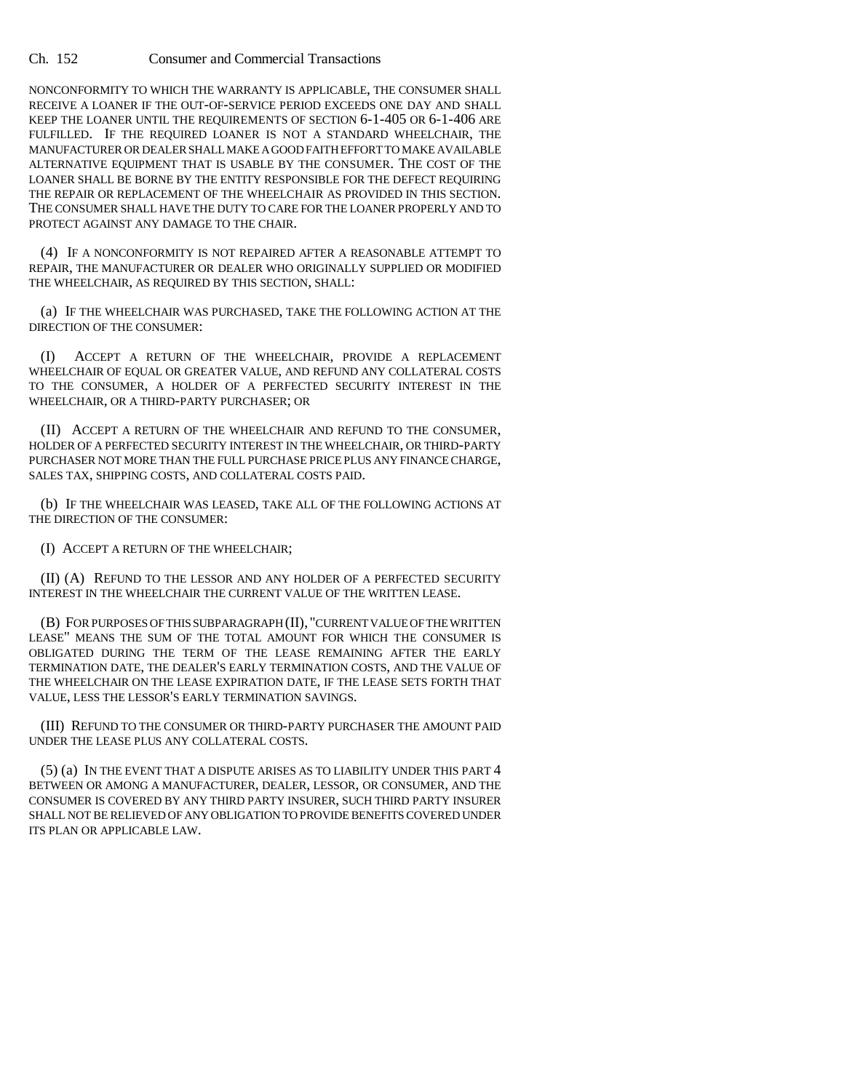### Ch. 152 Consumer and Commercial Transactions

NONCONFORMITY TO WHICH THE WARRANTY IS APPLICABLE, THE CONSUMER SHALL RECEIVE A LOANER IF THE OUT-OF-SERVICE PERIOD EXCEEDS ONE DAY AND SHALL KEEP THE LOANER UNTIL THE REQUIREMENTS OF SECTION 6-1-405 OR 6-1-406 ARE FULFILLED. IF THE REQUIRED LOANER IS NOT A STANDARD WHEELCHAIR, THE MANUFACTURER OR DEALER SHALL MAKE A GOOD FAITH EFFORT TO MAKE AVAILABLE ALTERNATIVE EQUIPMENT THAT IS USABLE BY THE CONSUMER. THE COST OF THE LOANER SHALL BE BORNE BY THE ENTITY RESPONSIBLE FOR THE DEFECT REQUIRING THE REPAIR OR REPLACEMENT OF THE WHEELCHAIR AS PROVIDED IN THIS SECTION. THE CONSUMER SHALL HAVE THE DUTY TO CARE FOR THE LOANER PROPERLY AND TO PROTECT AGAINST ANY DAMAGE TO THE CHAIR.

(4) IF A NONCONFORMITY IS NOT REPAIRED AFTER A REASONABLE ATTEMPT TO REPAIR, THE MANUFACTURER OR DEALER WHO ORIGINALLY SUPPLIED OR MODIFIED THE WHEELCHAIR, AS REQUIRED BY THIS SECTION, SHALL:

(a) IF THE WHEELCHAIR WAS PURCHASED, TAKE THE FOLLOWING ACTION AT THE DIRECTION OF THE CONSUMER:

(I) ACCEPT A RETURN OF THE WHEELCHAIR, PROVIDE A REPLACEMENT WHEELCHAIR OF EQUAL OR GREATER VALUE, AND REFUND ANY COLLATERAL COSTS TO THE CONSUMER, A HOLDER OF A PERFECTED SECURITY INTEREST IN THE WHEELCHAIR, OR A THIRD-PARTY PURCHASER; OR

(II) ACCEPT A RETURN OF THE WHEELCHAIR AND REFUND TO THE CONSUMER, HOLDER OF A PERFECTED SECURITY INTEREST IN THE WHEELCHAIR, OR THIRD-PARTY PURCHASER NOT MORE THAN THE FULL PURCHASE PRICE PLUS ANY FINANCE CHARGE, SALES TAX, SHIPPING COSTS, AND COLLATERAL COSTS PAID.

(b) IF THE WHEELCHAIR WAS LEASED, TAKE ALL OF THE FOLLOWING ACTIONS AT THE DIRECTION OF THE CONSUMER:

(I) ACCEPT A RETURN OF THE WHEELCHAIR;

(II) (A) REFUND TO THE LESSOR AND ANY HOLDER OF A PERFECTED SECURITY INTEREST IN THE WHEELCHAIR THE CURRENT VALUE OF THE WRITTEN LEASE.

(B) FOR PURPOSES OF THIS SUBPARAGRAPH (II), "CURRENT VALUE OF THE WRITTEN LEASE" MEANS THE SUM OF THE TOTAL AMOUNT FOR WHICH THE CONSUMER IS OBLIGATED DURING THE TERM OF THE LEASE REMAINING AFTER THE EARLY TERMINATION DATE, THE DEALER'S EARLY TERMINATION COSTS, AND THE VALUE OF THE WHEELCHAIR ON THE LEASE EXPIRATION DATE, IF THE LEASE SETS FORTH THAT VALUE, LESS THE LESSOR'S EARLY TERMINATION SAVINGS.

(III) REFUND TO THE CONSUMER OR THIRD-PARTY PURCHASER THE AMOUNT PAID UNDER THE LEASE PLUS ANY COLLATERAL COSTS.

(5) (a) IN THE EVENT THAT A DISPUTE ARISES AS TO LIABILITY UNDER THIS PART 4 BETWEEN OR AMONG A MANUFACTURER, DEALER, LESSOR, OR CONSUMER, AND THE CONSUMER IS COVERED BY ANY THIRD PARTY INSURER, SUCH THIRD PARTY INSURER SHALL NOT BE RELIEVED OF ANY OBLIGATION TO PROVIDE BENEFITS COVERED UNDER ITS PLAN OR APPLICABLE LAW.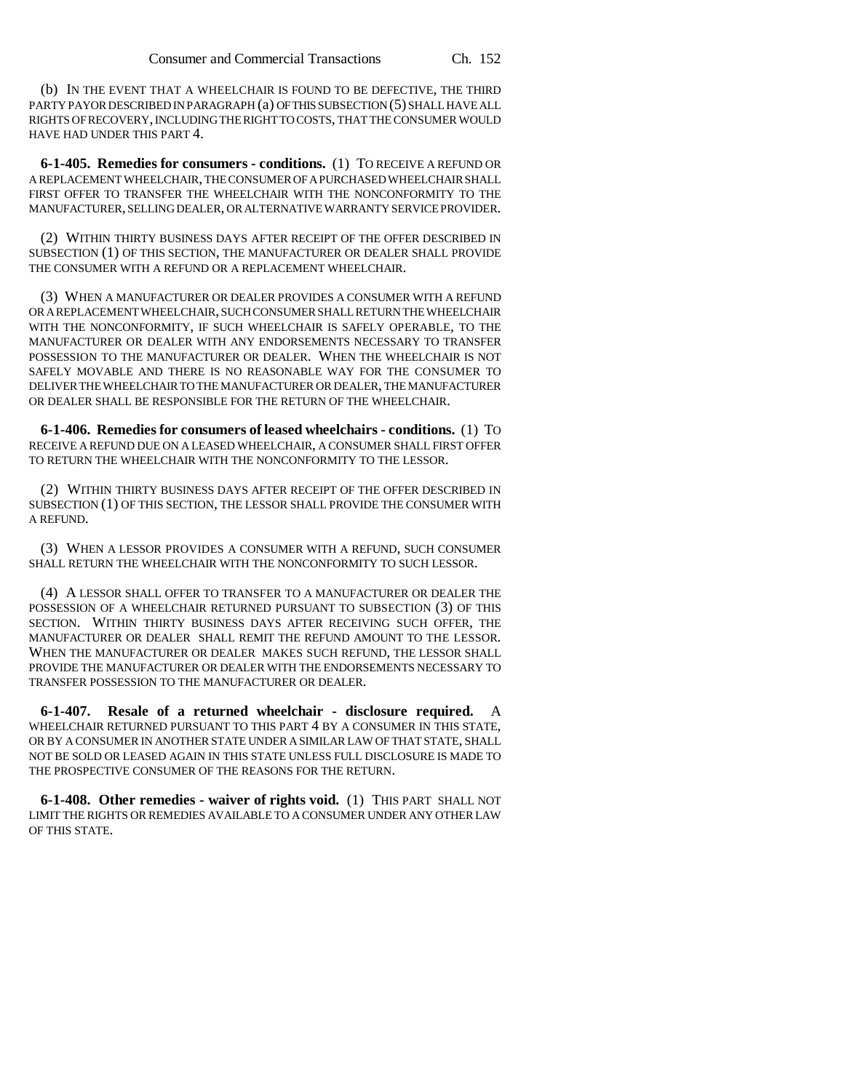(b) IN THE EVENT THAT A WHEELCHAIR IS FOUND TO BE DEFECTIVE, THE THIRD PARTY PAYOR DESCRIBED IN PARAGRAPH (a) OF THIS SUBSECTION (5) SHALL HAVE ALL RIGHTS OF RECOVERY, INCLUDING THE RIGHT TO COSTS, THAT THE CONSUMER WOULD HAVE HAD UNDER THIS PART 4.

**6-1-405. Remedies for consumers - conditions.** (1) TO RECEIVE A REFUND OR A REPLACEMENT WHEELCHAIR, THE CONSUMER OF A PURCHASED WHEELCHAIR SHALL FIRST OFFER TO TRANSFER THE WHEELCHAIR WITH THE NONCONFORMITY TO THE MANUFACTURER, SELLING DEALER, OR ALTERNATIVE WARRANTY SERVICE PROVIDER.

(2) WITHIN THIRTY BUSINESS DAYS AFTER RECEIPT OF THE OFFER DESCRIBED IN SUBSECTION (1) OF THIS SECTION, THE MANUFACTURER OR DEALER SHALL PROVIDE THE CONSUMER WITH A REFUND OR A REPLACEMENT WHEELCHAIR.

(3) WHEN A MANUFACTURER OR DEALER PROVIDES A CONSUMER WITH A REFUND OR A REPLACEMENT WHEELCHAIR, SUCH CONSUMER SHALL RETURN THE WHEELCHAIR WITH THE NONCONFORMITY, IF SUCH WHEELCHAIR IS SAFELY OPERABLE, TO THE MANUFACTURER OR DEALER WITH ANY ENDORSEMENTS NECESSARY TO TRANSFER POSSESSION TO THE MANUFACTURER OR DEALER. WHEN THE WHEELCHAIR IS NOT SAFELY MOVABLE AND THERE IS NO REASONABLE WAY FOR THE CONSUMER TO DELIVER THE WHEELCHAIR TO THE MANUFACTURER OR DEALER, THE MANUFACTURER OR DEALER SHALL BE RESPONSIBLE FOR THE RETURN OF THE WHEELCHAIR.

**6-1-406. Remedies for consumers of leased wheelchairs - conditions.** (1) TO RECEIVE A REFUND DUE ON A LEASED WHEELCHAIR, A CONSUMER SHALL FIRST OFFER TO RETURN THE WHEELCHAIR WITH THE NONCONFORMITY TO THE LESSOR.

(2) WITHIN THIRTY BUSINESS DAYS AFTER RECEIPT OF THE OFFER DESCRIBED IN SUBSECTION (1) OF THIS SECTION, THE LESSOR SHALL PROVIDE THE CONSUMER WITH A REFUND.

(3) WHEN A LESSOR PROVIDES A CONSUMER WITH A REFUND, SUCH CONSUMER SHALL RETURN THE WHEELCHAIR WITH THE NONCONFORMITY TO SUCH LESSOR.

(4) A LESSOR SHALL OFFER TO TRANSFER TO A MANUFACTURER OR DEALER THE POSSESSION OF A WHEELCHAIR RETURNED PURSUANT TO SUBSECTION (3) OF THIS SECTION. WITHIN THIRTY BUSINESS DAYS AFTER RECEIVING SUCH OFFER, THE MANUFACTURER OR DEALER SHALL REMIT THE REFUND AMOUNT TO THE LESSOR. WHEN THE MANUFACTURER OR DEALER MAKES SUCH REFUND, THE LESSOR SHALL PROVIDE THE MANUFACTURER OR DEALER WITH THE ENDORSEMENTS NECESSARY TO TRANSFER POSSESSION TO THE MANUFACTURER OR DEALER.

**6-1-407. Resale of a returned wheelchair - disclosure required.** A WHEELCHAIR RETURNED PURSUANT TO THIS PART 4 BY A CONSUMER IN THIS STATE, OR BY A CONSUMER IN ANOTHER STATE UNDER A SIMILAR LAW OF THAT STATE, SHALL NOT BE SOLD OR LEASED AGAIN IN THIS STATE UNLESS FULL DISCLOSURE IS MADE TO THE PROSPECTIVE CONSUMER OF THE REASONS FOR THE RETURN.

**6-1-408. Other remedies - waiver of rights void.** (1) THIS PART SHALL NOT LIMIT THE RIGHTS OR REMEDIES AVAILABLE TO A CONSUMER UNDER ANY OTHER LAW OF THIS STATE.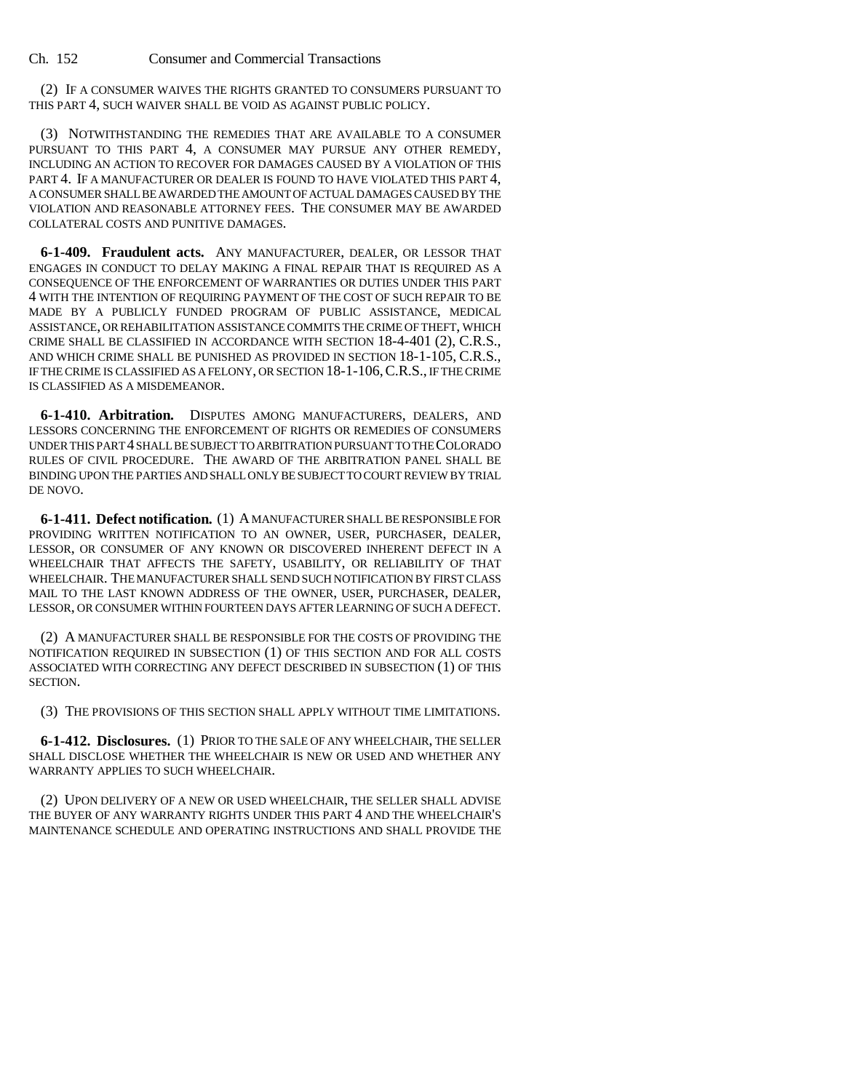(2) IF A CONSUMER WAIVES THE RIGHTS GRANTED TO CONSUMERS PURSUANT TO THIS PART 4, SUCH WAIVER SHALL BE VOID AS AGAINST PUBLIC POLICY.

(3) NOTWITHSTANDING THE REMEDIES THAT ARE AVAILABLE TO A CONSUMER PURSUANT TO THIS PART 4, A CONSUMER MAY PURSUE ANY OTHER REMEDY, INCLUDING AN ACTION TO RECOVER FOR DAMAGES CAUSED BY A VIOLATION OF THIS PART 4. IF A MANUFACTURER OR DEALER IS FOUND TO HAVE VIOLATED THIS PART 4, A CONSUMER SHALL BE AWARDED THE AMOUNT OF ACTUAL DAMAGES CAUSED BY THE VIOLATION AND REASONABLE ATTORNEY FEES. THE CONSUMER MAY BE AWARDED COLLATERAL COSTS AND PUNITIVE DAMAGES.

**6-1-409. Fraudulent acts.** ANY MANUFACTURER, DEALER, OR LESSOR THAT ENGAGES IN CONDUCT TO DELAY MAKING A FINAL REPAIR THAT IS REQUIRED AS A CONSEQUENCE OF THE ENFORCEMENT OF WARRANTIES OR DUTIES UNDER THIS PART 4 WITH THE INTENTION OF REQUIRING PAYMENT OF THE COST OF SUCH REPAIR TO BE MADE BY A PUBLICLY FUNDED PROGRAM OF PUBLIC ASSISTANCE, MEDICAL ASSISTANCE, OR REHABILITATION ASSISTANCE COMMITS THE CRIME OF THEFT, WHICH CRIME SHALL BE CLASSIFIED IN ACCORDANCE WITH SECTION 18-4-401 (2), C.R.S., AND WHICH CRIME SHALL BE PUNISHED AS PROVIDED IN SECTION 18-1-105, C.R.S., IF THE CRIME IS CLASSIFIED AS A FELONY, OR SECTION 18-1-106,C.R.S., IF THE CRIME IS CLASSIFIED AS A MISDEMEANOR.

**6-1-410. Arbitration.** DISPUTES AMONG MANUFACTURERS, DEALERS, AND LESSORS CONCERNING THE ENFORCEMENT OF RIGHTS OR REMEDIES OF CONSUMERS UNDER THIS PART 4 SHALL BE SUBJECT TO ARBITRATION PURSUANT TO THE COLORADO RULES OF CIVIL PROCEDURE. THE AWARD OF THE ARBITRATION PANEL SHALL BE BINDING UPON THE PARTIES AND SHALL ONLY BE SUBJECT TO COURT REVIEW BY TRIAL DE NOVO.

**6-1-411. Defect notification.** (1) A MANUFACTURER SHALL BE RESPONSIBLE FOR PROVIDING WRITTEN NOTIFICATION TO AN OWNER, USER, PURCHASER, DEALER, LESSOR, OR CONSUMER OF ANY KNOWN OR DISCOVERED INHERENT DEFECT IN A WHEELCHAIR THAT AFFECTS THE SAFETY, USABILITY, OR RELIABILITY OF THAT WHEELCHAIR. THE MANUFACTURER SHALL SEND SUCH NOTIFICATION BY FIRST CLASS MAIL TO THE LAST KNOWN ADDRESS OF THE OWNER, USER, PURCHASER, DEALER, LESSOR, OR CONSUMER WITHIN FOURTEEN DAYS AFTER LEARNING OF SUCH A DEFECT.

(2) A MANUFACTURER SHALL BE RESPONSIBLE FOR THE COSTS OF PROVIDING THE NOTIFICATION REQUIRED IN SUBSECTION (1) OF THIS SECTION AND FOR ALL COSTS ASSOCIATED WITH CORRECTING ANY DEFECT DESCRIBED IN SUBSECTION (1) OF THIS SECTION.

(3) THE PROVISIONS OF THIS SECTION SHALL APPLY WITHOUT TIME LIMITATIONS.

**6-1-412. Disclosures.** (1) PRIOR TO THE SALE OF ANY WHEELCHAIR, THE SELLER SHALL DISCLOSE WHETHER THE WHEELCHAIR IS NEW OR USED AND WHETHER ANY WARRANTY APPLIES TO SUCH WHEELCHAIR.

(2) UPON DELIVERY OF A NEW OR USED WHEELCHAIR, THE SELLER SHALL ADVISE THE BUYER OF ANY WARRANTY RIGHTS UNDER THIS PART 4 AND THE WHEELCHAIR'S MAINTENANCE SCHEDULE AND OPERATING INSTRUCTIONS AND SHALL PROVIDE THE